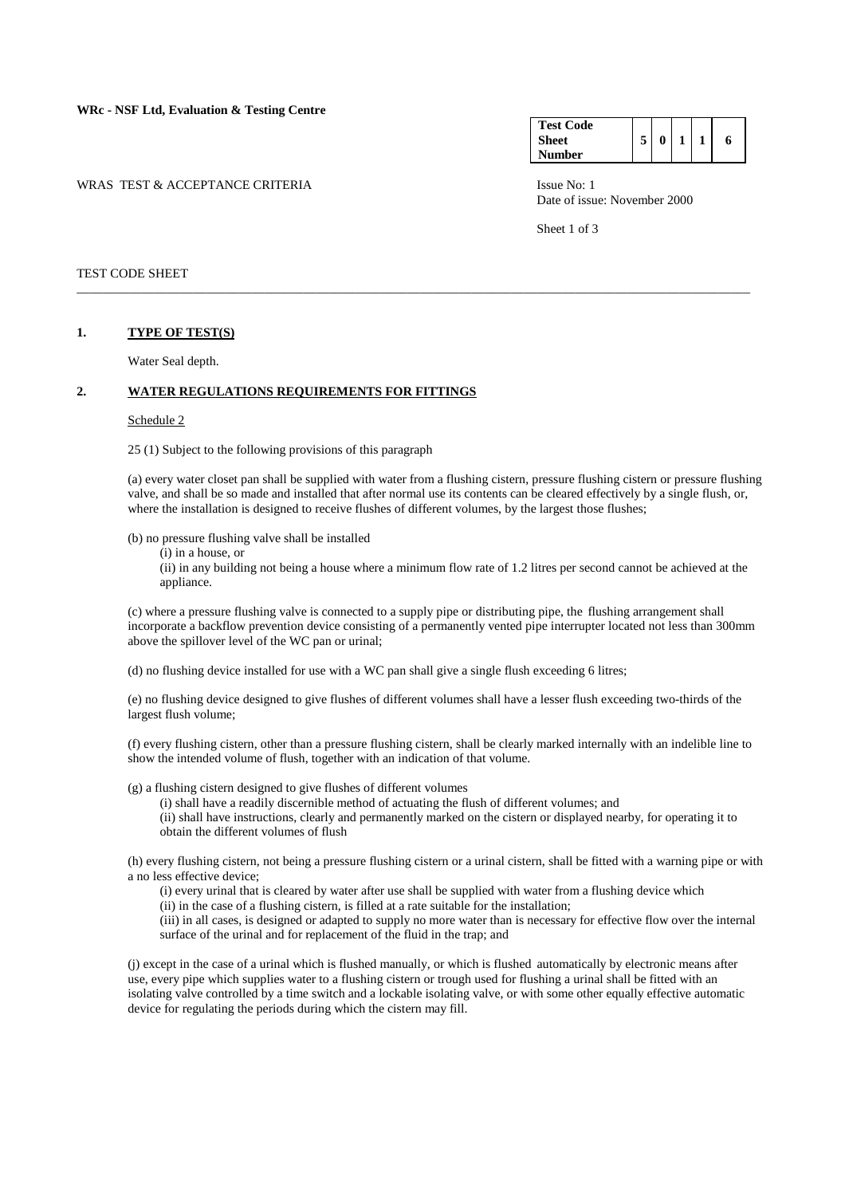| <b>Test Code</b> |  |  |   |
|------------------|--|--|---|
| <b>Sheet</b>     |  |  | 0 |
| <b>Number</b>    |  |  |   |

WRAS TEST & ACCEPTANCE CRITERIA ISSUE No: 1 Date of issue: November 2000

Sheet 1 of 3

#### TEST CODE SHEET

### **1. TYPE OF TEST(S)**

Water Seal depth.

### **2. WATER REGULATIONS REQUIREMENTS FOR FITTINGS**

#### Schedule 2

25 (1) Subject to the following provisions of this paragraph

(a) every water closet pan shall be supplied with water from a flushing cistern, pressure flushing cistern or pressure flushing valve, and shall be so made and installed that after normal use its contents can be cleared effectively by a single flush, or, where the installation is designed to receive flushes of different volumes, by the largest those flushes;

\_\_\_\_\_\_\_\_\_\_\_\_\_\_\_\_\_\_\_\_\_\_\_\_\_\_\_\_\_\_\_\_\_\_\_\_\_\_\_\_\_\_\_\_\_\_\_\_\_\_\_\_\_\_\_\_\_\_\_\_\_\_\_\_\_\_\_\_\_\_\_\_\_\_\_\_\_\_\_\_\_\_\_\_\_\_\_\_\_\_\_\_\_\_\_\_\_\_\_\_\_\_\_\_

(b) no pressure flushing valve shall be installed

(i) in a house, or

 (ii) in any building not being a house where a minimum flow rate of 1.2 litres per second cannot be achieved at the appliance.

 (c) where a pressure flushing valve is connected to a supply pipe or distributing pipe, the flushing arrangement shall incorporate a backflow prevention device consisting of a permanently vented pipe interrupter located not less than 300mm above the spillover level of the WC pan or urinal;

(d) no flushing device installed for use with a WC pan shall give a single flush exceeding 6 litres;

(e) no flushing device designed to give flushes of different volumes shall have a lesser flush exceeding two-thirds of the largest flush volume;

(f) every flushing cistern, other than a pressure flushing cistern, shall be clearly marked internally with an indelible line to show the intended volume of flush, together with an indication of that volume.

(g) a flushing cistern designed to give flushes of different volumes

(i) shall have a readily discernible method of actuating the flush of different volumes; and

 (ii) shall have instructions, clearly and permanently marked on the cistern or displayed nearby, for operating it to obtain the different volumes of flush

(h) every flushing cistern, not being a pressure flushing cistern or a urinal cistern, shall be fitted with a warning pipe or with a no less effective device;

(i) every urinal that is cleared by water after use shall be supplied with water from a flushing device which

(ii) in the case of a flushing cistern, is filled at a rate suitable for the installation;

(iii) in all cases, is designed or adapted to supply no more water than is necessary for effective flow over the internal surface of the urinal and for replacement of the fluid in the trap; and

(j) except in the case of a urinal which is flushed manually, or which is flushed automatically by electronic means after use, every pipe which supplies water to a flushing cistern or trough used for flushing a urinal shall be fitted with an isolating valve controlled by a time switch and a lockable isolating valve, or with some other equally effective automatic device for regulating the periods during which the cistern may fill.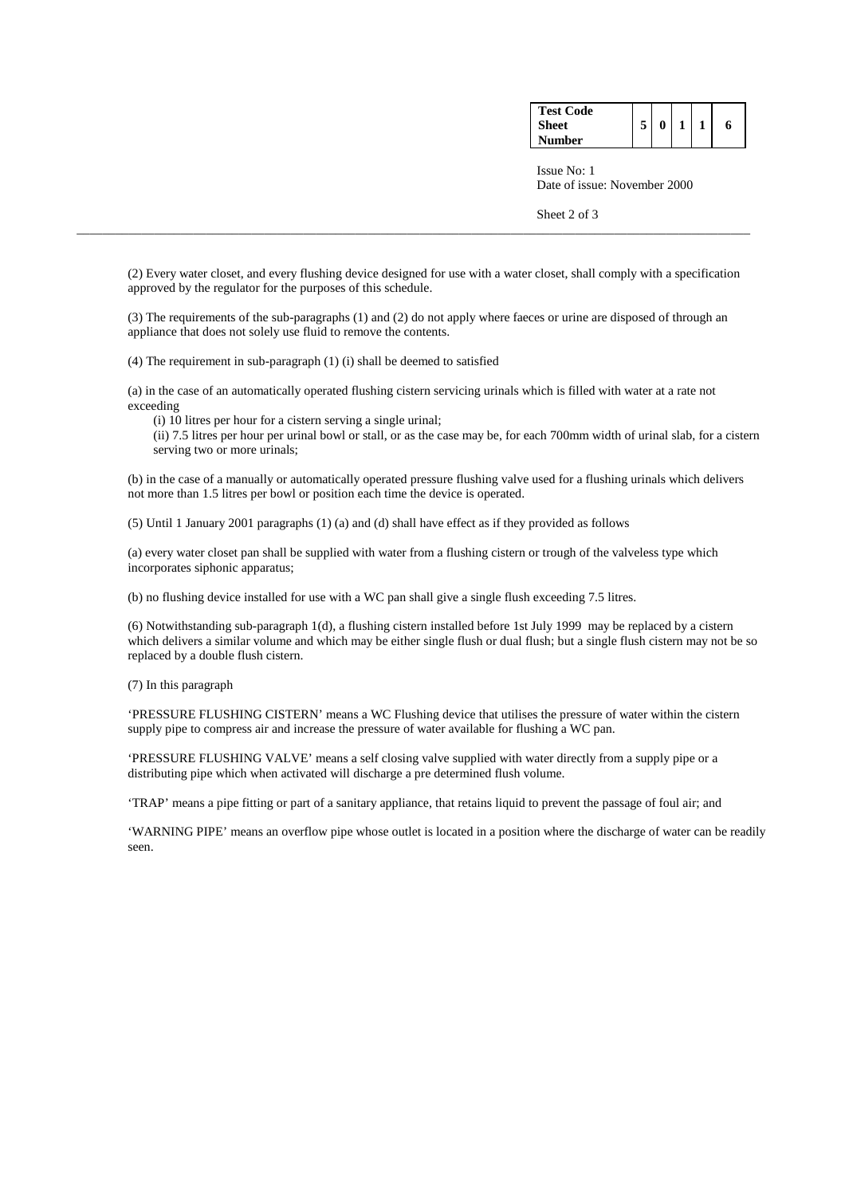| <b>Test Code</b> |   |  |   |
|------------------|---|--|---|
| <b>Sheet</b>     | ⊃ |  | 0 |
| <b>Number</b>    |   |  |   |

 Issue No: 1 Date of issue: November 2000

Sheet 2 of 3

(2) Every water closet, and every flushing device designed for use with a water closet, shall comply with a specification approved by the regulator for the purposes of this schedule.

\_\_\_\_\_\_\_\_\_\_\_\_\_\_\_\_\_\_\_\_\_\_\_\_\_\_\_\_\_\_\_\_\_\_\_\_\_\_\_\_\_\_\_\_\_\_\_\_\_\_\_\_\_\_\_\_\_\_\_\_\_\_\_\_\_\_\_\_\_\_\_\_\_\_\_\_\_\_\_\_\_\_\_\_\_\_\_\_\_\_\_\_\_\_\_\_\_\_\_\_\_\_\_\_

(3) The requirements of the sub-paragraphs (1) and (2) do not apply where faeces or urine are disposed of through an appliance that does not solely use fluid to remove the contents.

(4) The requirement in sub-paragraph (1) (i) shall be deemed to satisfied

(a) in the case of an automatically operated flushing cistern servicing urinals which is filled with water at a rate not exceeding

(i) 10 litres per hour for a cistern serving a single urinal;

 (ii) 7.5 litres per hour per urinal bowl or stall, or as the case may be, for each 700mm width of urinal slab, for a cistern serving two or more urinals;

(b) in the case of a manually or automatically operated pressure flushing valve used for a flushing urinals which delivers not more than 1.5 litres per bowl or position each time the device is operated.

(5) Until 1 January 2001 paragraphs (1) (a) and (d) shall have effect as if they provided as follows

(a) every water closet pan shall be supplied with water from a flushing cistern or trough of the valveless type which incorporates siphonic apparatus;

(b) no flushing device installed for use with a WC pan shall give a single flush exceeding 7.5 litres.

(6) Notwithstanding sub-paragraph 1(d), a flushing cistern installed before 1st July 1999 may be replaced by a cistern which delivers a similar volume and which may be either single flush or dual flush; but a single flush cistern may not be so replaced by a double flush cistern.

(7) In this paragraph

'PRESSURE FLUSHING CISTERN' means a WC Flushing device that utilises the pressure of water within the cistern supply pipe to compress air and increase the pressure of water available for flushing a WC pan.

'PRESSURE FLUSHING VALVE' means a self closing valve supplied with water directly from a supply pipe or a distributing pipe which when activated will discharge a pre determined flush volume.

'TRAP' means a pipe fitting or part of a sanitary appliance, that retains liquid to prevent the passage of foul air; and

'WARNING PIPE' means an overflow pipe whose outlet is located in a position where the discharge of water can be readily seen.